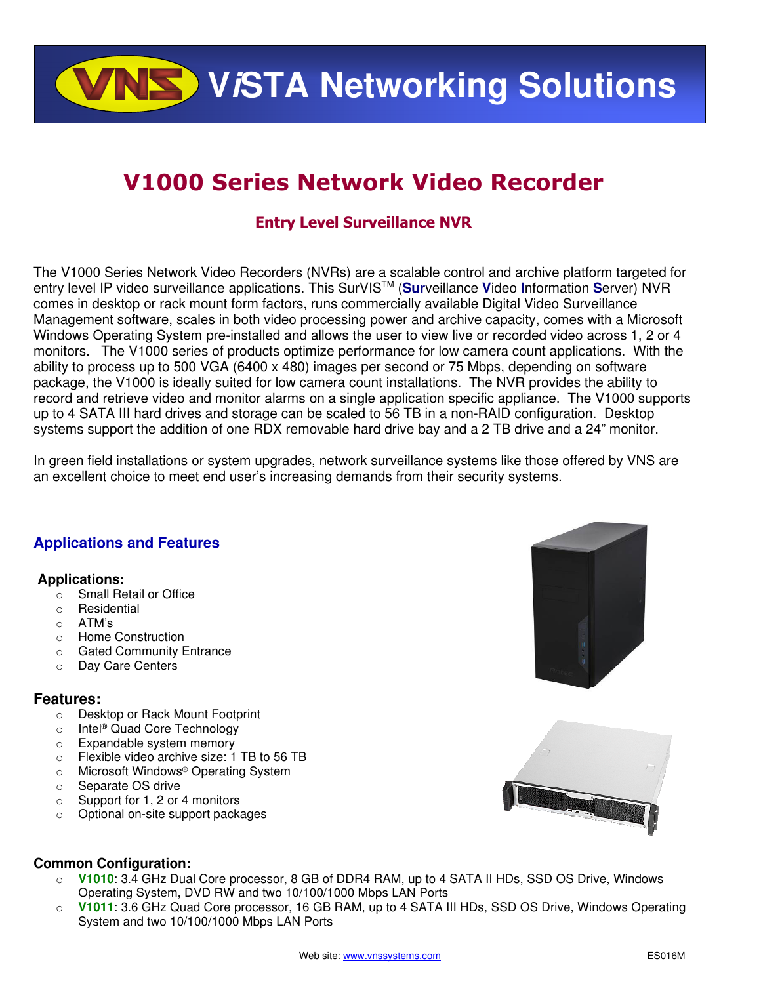**VISTA Networking Solutions** 

# **V1000 Series Network Video Recorder**

# **Entry Level Surveillance NVR**

The V1000 Series Network Video Recorders (NVRs) are a scalable control and archive platform targeted for entry level IP video surveillance applications. This SurVISTM (**Sur**veillance **V**ideo **I**nformation **S**erver) NVR comes in desktop or rack mount form factors, runs commercially available Digital Video Surveillance Management software, scales in both video processing power and archive capacity, comes with a Microsoft Windows Operating System pre-installed and allows the user to view live or recorded video across 1, 2 or 4 monitors. The V1000 series of products optimize performance for low camera count applications. With the ability to process up to 500 VGA (6400 x 480) images per second or 75 Mbps, depending on software package, the V1000 is ideally suited for low camera count installations. The NVR provides the ability to record and retrieve video and monitor alarms on a single application specific appliance. The V1000 supports up to 4 SATA III hard drives and storage can be scaled to 56 TB in a non-RAID configuration. Desktop systems support the addition of one RDX removable hard drive bay and a 2 TB drive and a 24" monitor.

In green field installations or system upgrades, network surveillance systems like those offered by VNS are an excellent choice to meet end user's increasing demands from their security systems.

## **Applications and Features**

#### **Applications:**

- o Small Retail or Office
- o Residential
- o ATM's
- o Home Construction
- o Gated Community Entrance
- o Day Care Centers

#### **Features:**

- o Desktop or Rack Mount Footprint
- o Intel® Quad Core Technology
- o Expandable system memory
- o Flexible video archive size: 1 TB to 56 TB
- o Microsoft Windows® Operating System
- o Separate OS drive
- o Support for 1, 2 or 4 monitors
- o Optional on-site support packages





#### **Common Configuration:**

- o **V1010**: 3.4 GHz Dual Core processor, 8 GB of DDR4 RAM, up to 4 SATA II HDs, SSD OS Drive, Windows Operating System, DVD RW and two 10/100/1000 Mbps LAN Ports
- o **V1011**: 3.6 GHz Quad Core processor, 16 GB RAM, up to 4 SATA III HDs, SSD OS Drive, Windows Operating System and two 10/100/1000 Mbps LAN Ports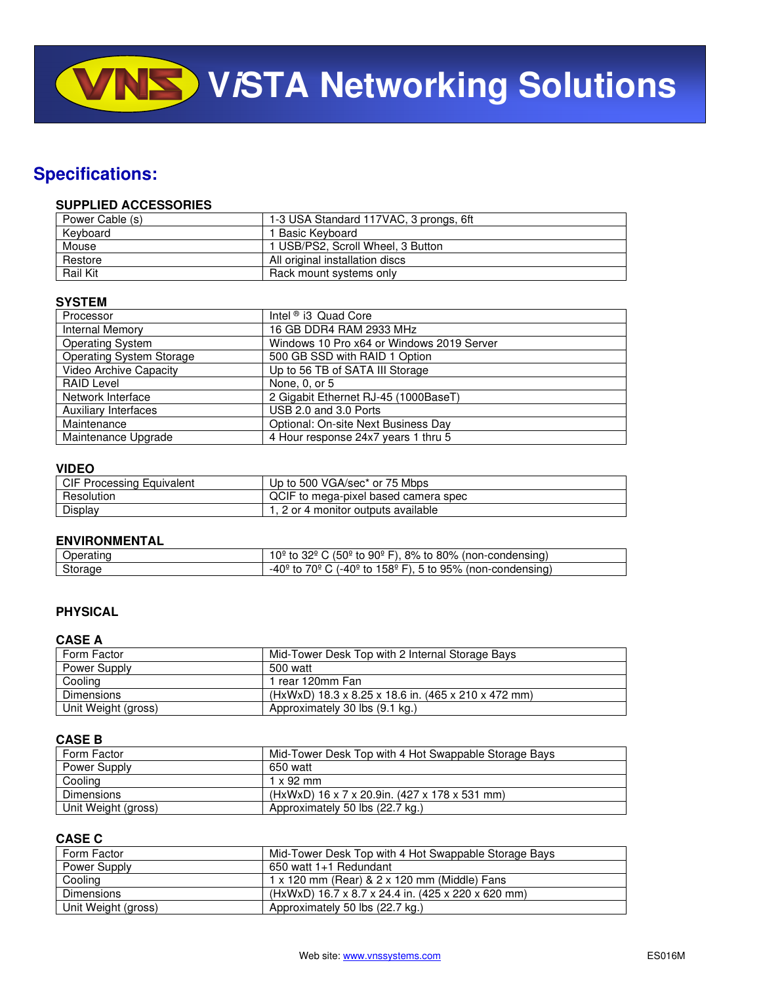**VISTA Networking Solutions** 

# **Specifications:**

#### **SUPPLIED ACCESSORIES**

| Power Cable (s) | 1-3 USA Standard 117VAC, 3 prongs, 6ft |
|-----------------|----------------------------------------|
| Kevboard        | 1 Basic Kevboard                       |
| Mouse           | 1 USB/PS2, Scroll Wheel, 3 Button      |
| Restore         | All original installation discs        |
| <b>Rail Kit</b> | Rack mount systems only                |

#### **SYSTEM**

| Processor                       | Intel $\textdegree$ i3 Quad Core          |
|---------------------------------|-------------------------------------------|
| <b>Internal Memory</b>          | 16 GB DDR4 RAM 2933 MHz                   |
| <b>Operating System</b>         | Windows 10 Pro x64 or Windows 2019 Server |
| <b>Operating System Storage</b> | 500 GB SSD with RAID 1 Option             |
| <b>Video Archive Capacity</b>   | Up to 56 TB of SATA III Storage           |
| <b>RAID Level</b>               | None, 0, or 5                             |
| Network Interface               | 2 Gigabit Ethernet RJ-45 (1000BaseT)      |
| <b>Auxiliary Interfaces</b>     | USB 2.0 and 3.0 Ports                     |
| Maintenance                     | Optional: On-site Next Business Day       |
| Maintenance Upgrade             | 4 Hour response 24x7 years 1 thru 5       |

#### **VIDEO**

| <b>CIF Processing Equivalent</b> | Up to 500 VGA/sec* or 75 Mbps        |
|----------------------------------|--------------------------------------|
| Resolution                       | QCIF to mega-pixel based camera spec |
| Display                          | 1, 2 or 4 monitor outputs available  |

#### **ENVIRONMENTAL**

| Jperatınc | $(50^{\circ}$ to 90 $^{\circ}$ F).<br>32º<br>8% to 80%<br>.0º<br>(non-condensing)             |
|-----------|-----------------------------------------------------------------------------------------------|
| Storage   | 158 $\degree$ F).<br>5 to 95% 、<br>$-40c$<br>7∩º<br>. (-40º to 1<br>(non-condensina) ،<br>. . |

#### **PHYSICAL**

#### **CASE A**

| Form Factor         | Mid-Tower Desk Top with 2 Internal Storage Bays     |
|---------------------|-----------------------------------------------------|
| Power Supply        | 500 watt                                            |
| Cooling             | rear 120mm Fan                                      |
| <b>Dimensions</b>   | (HxWxD) 18.3 x 8.25 x 18.6 in. (465 x 210 x 472 mm) |
| Unit Weight (gross) | Approximately 30 lbs (9.1 kg.)                      |

#### **CASE B**

| Form Factor         | Mid-Tower Desk Top with 4 Hot Swappable Storage Bays |
|---------------------|------------------------------------------------------|
| Power Supply        | 650 watt                                             |
| Cooling             | $1 \times 92$ mm                                     |
| <b>Dimensions</b>   | (HxWxD) 16 x 7 x 20.9in. (427 x 178 x 531 mm)        |
| Unit Weight (gross) | Approximately 50 lbs (22.7 kg.)                      |

#### **CASE C**

| Form Factor         | Mid-Tower Desk Top with 4 Hot Swappable Storage Bays |
|---------------------|------------------------------------------------------|
| Power Supply        | 650 watt 1+1 Redundant                               |
| Cooling             | 1 x 120 mm (Rear) & 2 x 120 mm (Middle) Fans         |
| Dimensions          | (HxWxD) 16.7 x 8.7 x 24.4 in. (425 x 220 x 620 mm)   |
| Unit Weight (gross) | Approximately 50 lbs (22.7 kg.)                      |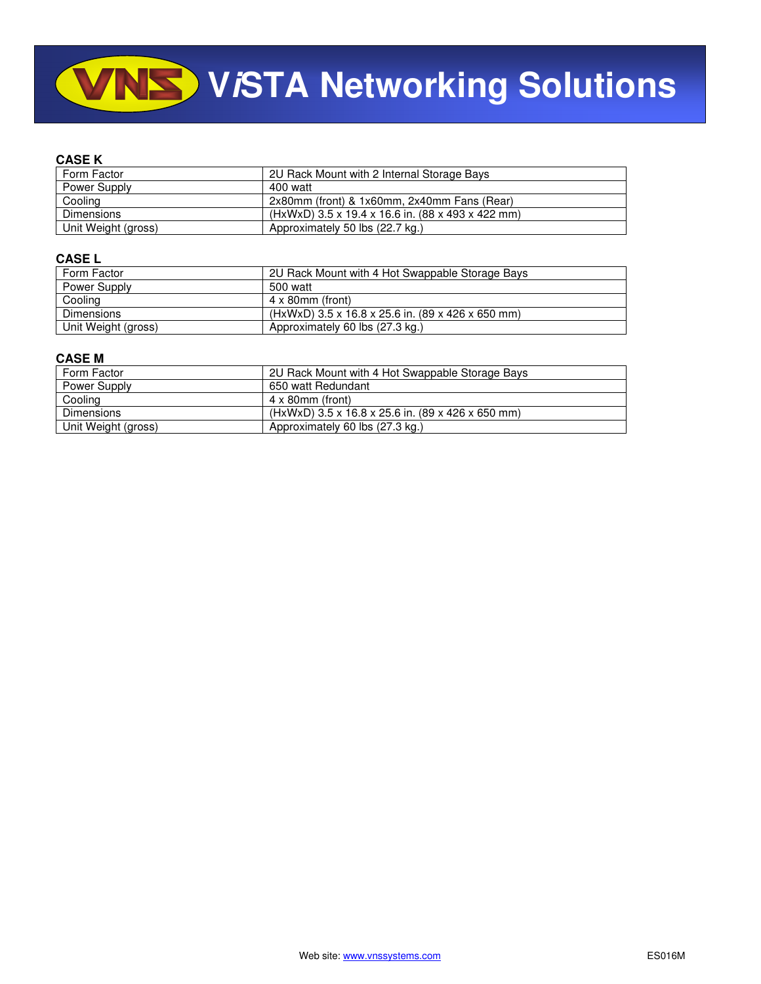# **VINS** VISTA Networking Solutions

#### **CASE K**

| Form Factor         | 2U Rack Mount with 2 Internal Storage Bays        |
|---------------------|---------------------------------------------------|
| Power Supply        | 400 watt                                          |
| Cooling             | 2x80mm (front) & 1x60mm, 2x40mm Fans (Rear)       |
| <b>Dimensions</b>   | (HxWxD) 3.5 x 19.4 x 16.6 in. (88 x 493 x 422 mm) |
| Unit Weight (gross) | Approximately 50 lbs (22.7 kg.)                   |

#### **CASE L**

| Form Factor         | 2U Rack Mount with 4 Hot Swappable Storage Bays   |
|---------------------|---------------------------------------------------|
| Power Supply        | 500 watt                                          |
| Cooling             | 4 x 80mm (front)                                  |
| <b>Dimensions</b>   | (HxWxD) 3.5 x 16.8 x 25.6 in. (89 x 426 x 650 mm) |
| Unit Weight (gross) | Approximately 60 lbs (27.3 kg.)                   |

#### **CASE M**

| Form Factor         | 2U Rack Mount with 4 Hot Swappable Storage Bays   |
|---------------------|---------------------------------------------------|
| Power Supply        | 650 watt Redundant                                |
| Cooling             | $4 \times 80$ mm (front)                          |
| <b>Dimensions</b>   | (HxWxD) 3.5 x 16.8 x 25.6 in. (89 x 426 x 650 mm) |
| Unit Weight (gross) | Approximately 60 lbs (27.3 kg.)                   |